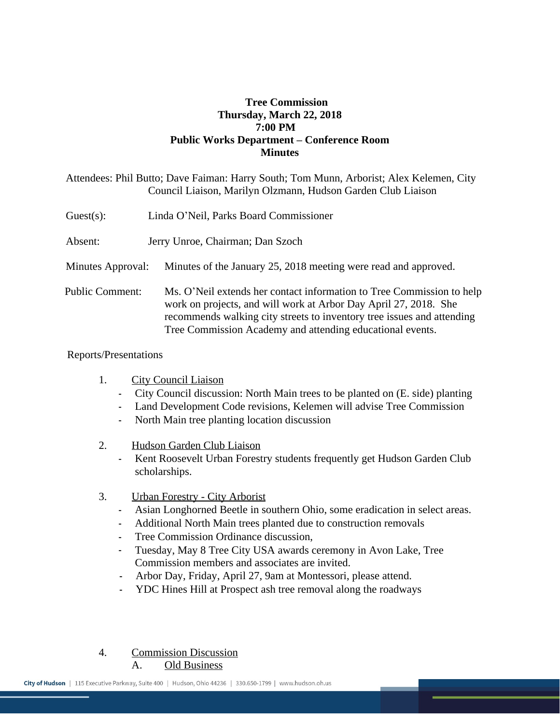## **Tree Commission Thursday, March 22, 2018 7:00 PM Public Works Department – Conference Room Minutes**

|                        | Attendees: Phil Butto; Dave Faiman: Harry South; Tom Munn, Arborist; Alex Kelemen, City<br>Council Liaison, Marilyn Olzmann, Hudson Garden Club Liaison                                                                                                                          |
|------------------------|----------------------------------------------------------------------------------------------------------------------------------------------------------------------------------------------------------------------------------------------------------------------------------|
| $Guest(s)$ :           | Linda O'Neil, Parks Board Commissioner                                                                                                                                                                                                                                           |
| Absent:                | Jerry Unroe, Chairman; Dan Szoch                                                                                                                                                                                                                                                 |
| Minutes Approval:      | Minutes of the January 25, 2018 meeting were read and approved.                                                                                                                                                                                                                  |
| <b>Public Comment:</b> | Ms. O'Neil extends her contact information to Tree Commission to help<br>work on projects, and will work at Arbor Day April 27, 2018. She<br>recommends walking city streets to inventory tree issues and attending<br>Tree Commission Academy and attending educational events. |

## Reports/Presentations

- 1. City Council Liaison
	- City Council discussion: North Main trees to be planted on (E. side) planting
	- Land Development Code revisions, Kelemen will advise Tree Commission
	- North Main tree planting location discussion
- 2. Hudson Garden Club Liaison
	- Kent Roosevelt Urban Forestry students frequently get Hudson Garden Club scholarships.
- 3. Urban Forestry City Arborist
	- Asian Longhorned Beetle in southern Ohio, some eradication in select areas.
	- Additional North Main trees planted due to construction removals
	- Tree Commission Ordinance discussion,
	- Tuesday, May 8 Tree City USA awards ceremony in Avon Lake, Tree Commission members and associates are invited.
	- Arbor Day, Friday, April 27, 9am at Montessori, please attend.
	- YDC Hines Hill at Prospect ash tree removal along the roadways
- 4. Commission Discussion

A. Old Business